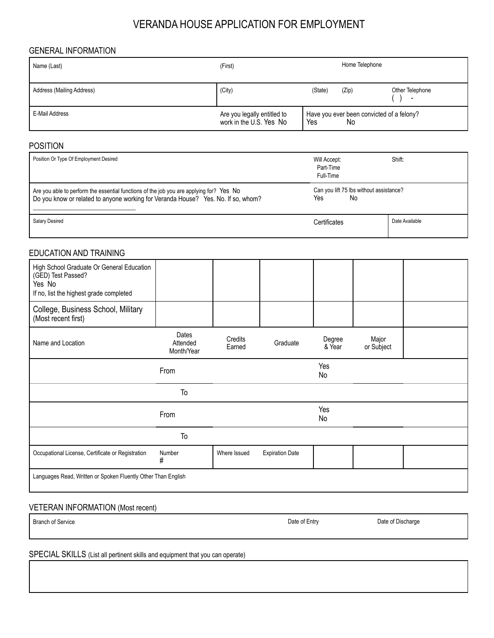# VERANDA HOUSE APPLICATION FOR EMPLOYMENT

### GENERAL INFORMATION

| Name (Last)               | Home Telephone<br>(First)                              |                                                        |       |                      |
|---------------------------|--------------------------------------------------------|--------------------------------------------------------|-------|----------------------|
| Address (Mailing Address) | (City)                                                 | (State)                                                | (Zip) | Other Telephone<br>- |
| E-Mail Address            | Are you legally entitled to<br>work in the U.S. Yes No | Have you ever been convicted of a felony?<br>Yes<br>No |       |                      |

#### POSITION

| Position Or Type Of Employment Desired                                                                                                                                       | Will Accept:<br>Part-Time<br>Full-Time               | Shift:         |
|------------------------------------------------------------------------------------------------------------------------------------------------------------------------------|------------------------------------------------------|----------------|
| Are you able to perform the essential functions of the job you are applying for? Yes No<br>Do you know or related to anyone working for Veranda House? Yes. No. If so, whom? | Can you lift 75 lbs without assistance?<br>Yes<br>No |                |
| Salary Desired                                                                                                                                                               | Certificates                                         | Date Available |

## EDUCATION AND TRAINING

| High School Graduate Or General Education<br>(GED) Test Passed?<br>Yes No<br>If no, list the highest grade completed |                                 |                   |                        |                  |                     |  |
|----------------------------------------------------------------------------------------------------------------------|---------------------------------|-------------------|------------------------|------------------|---------------------|--|
| College, Business School, Military<br>(Most recent first)                                                            |                                 |                   |                        |                  |                     |  |
| Name and Location                                                                                                    | Dates<br>Attended<br>Month/Year | Credits<br>Earned | Graduate               | Degree<br>& Year | Major<br>or Subject |  |
|                                                                                                                      | From                            |                   |                        | Yes<br>No        |                     |  |
|                                                                                                                      | To                              |                   |                        |                  |                     |  |
|                                                                                                                      | From                            |                   |                        | Yes<br>No        |                     |  |
|                                                                                                                      | To                              |                   |                        |                  |                     |  |
| Occupational License, Certificate or Registration                                                                    | Number<br>#                     | Where Issued      | <b>Expiration Date</b> |                  |                     |  |
| Languages Read, Written or Spoken Fluently Other Than English                                                        |                                 |                   |                        |                  |                     |  |

## VETERAN INFORMATION (Most recent)

#### Branch of Service

Date of Entry

Date of Discharge

SPECIAL SKILLS (List all pertinent skills and equipment that you can operate)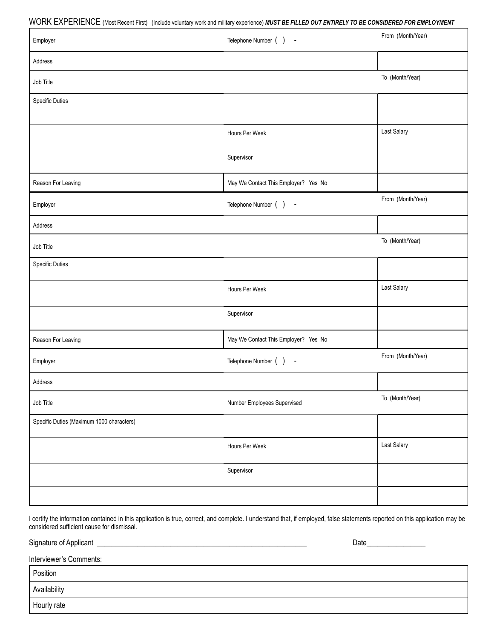WORK EXPERIENCE (Most Recent First) (Include voluntary work and military experience) *MUST BE FILLED OUT ENTIRELY TO BE CONSIDERED FOR EMPLOYMENT*

| VVOI MALLA LA LA MENTOL (MOSI RECENT I ISI) (INGIQUE VOIDIRALY WORK AND HIMRALY EXPENSICE) MOST BE FILLED OUT ENTIRELT TO BE CONSIDERED FOR EMPLOTMENT<br>Employer | Telephone Number () -                 | From (Month/Year) |
|--------------------------------------------------------------------------------------------------------------------------------------------------------------------|---------------------------------------|-------------------|
|                                                                                                                                                                    |                                       |                   |
| Address                                                                                                                                                            |                                       |                   |
| Job Title                                                                                                                                                          |                                       | To (Month/Year)   |
| <b>Specific Duties</b>                                                                                                                                             |                                       |                   |
|                                                                                                                                                                    |                                       |                   |
|                                                                                                                                                                    | Hours Per Week                        | Last Salary       |
|                                                                                                                                                                    | Supervisor                            |                   |
| Reason For Leaving                                                                                                                                                 | May We Contact This Employer? Yes No  |                   |
| Employer                                                                                                                                                           | Telephone Number () -                 | From (Month/Year) |
| Address                                                                                                                                                            |                                       |                   |
| Job Title                                                                                                                                                          |                                       | To (Month/Year)   |
| <b>Specific Duties</b>                                                                                                                                             |                                       |                   |
|                                                                                                                                                                    | Hours Per Week                        | Last Salary       |
|                                                                                                                                                                    | Supervisor                            |                   |
| Reason For Leaving                                                                                                                                                 | May We Contact This Employer? Yes No  |                   |
| Employer                                                                                                                                                           | Telephone Number ()<br>$\blacksquare$ | From (Month/Year) |
| Address                                                                                                                                                            |                                       |                   |
| Job Title                                                                                                                                                          | Number Employees Supervised           | To (Month/Year)   |
| Specific Duties (Maximum 1000 characters)                                                                                                                          |                                       |                   |
|                                                                                                                                                                    | Hours Per Week                        | Last Salary       |
|                                                                                                                                                                    | Supervisor                            |                   |
|                                                                                                                                                                    |                                       |                   |

I certify the information contained in this application is true, correct, and complete. I understand that, if employed, false statements reported on this application may be considered sufficient cause for dismissal.

Signature of Applicant \_\_\_\_\_\_\_\_\_\_\_\_\_\_\_\_\_\_\_\_\_\_\_\_\_\_\_\_\_\_\_\_\_\_\_\_\_\_\_\_\_\_\_\_\_\_\_\_\_\_\_\_\_\_\_\_\_ Date\_\_\_\_\_\_\_\_\_\_\_\_\_\_\_\_

Interviewer's Comments:

Position

Availability

Hourly rate